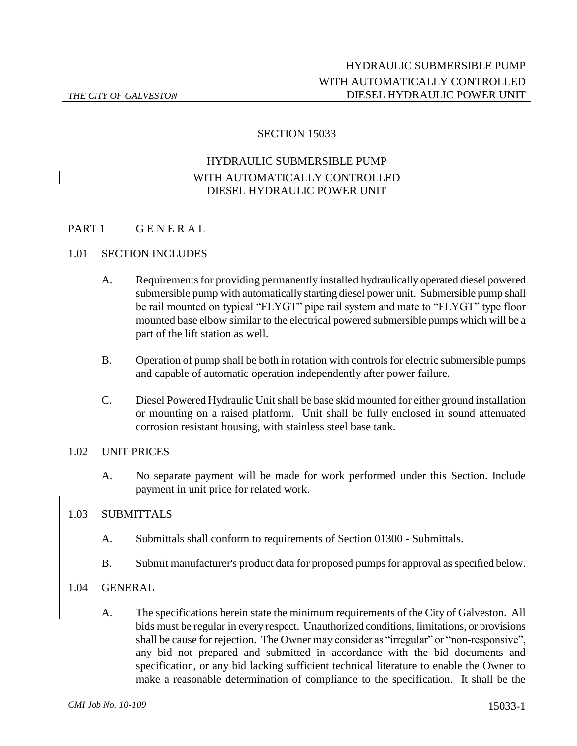## SECTION 15033

## HYDRAULIC SUBMERSIBLE PUMP WITH AUTOMATICALLY CONTROLLED DIESEL HYDRAULIC POWER UNIT

## PART 1 GENERAL

#### 1.01 SECTION INCLUDES

- A. Requirements for providing permanently installed hydraulically operated diesel powered submersible pump with automatically starting diesel power unit. Submersible pump shall be rail mounted on typical "FLYGT" pipe rail system and mate to "FLYGT" type floor mounted base elbow similar to the electrical powered submersible pumps which will be a part of the lift station as well.
- B. Operation of pump shall be both in rotation with controls for electric submersible pumps and capable of automatic operation independently after power failure.
- C. Diesel Powered Hydraulic Unit shall be base skid mounted for either ground installation or mounting on a raised platform. Unit shall be fully enclosed in sound attenuated corrosion resistant housing, with stainless steel base tank.

#### 1.02 UNIT PRICES

A. No separate payment will be made for work performed under this Section. Include payment in unit price for related work.

#### 1.03 SUBMITTALS

- A. Submittals shall conform to requirements of Section 01300 Submittals.
- B. Submit manufacturer's product data for proposed pumps for approval as specified below.

#### 1.04 GENERAL

A. The specifications herein state the minimum requirements of the City of Galveston. All bids must be regular in every respect. Unauthorized conditions, limitations, or provisions shall be cause for rejection. The Owner may consider as "irregular" or "non-responsive", any bid not prepared and submitted in accordance with the bid documents and specification, or any bid lacking sufficient technical literature to enable the Owner to make a reasonable determination of compliance to the specification. It shall be the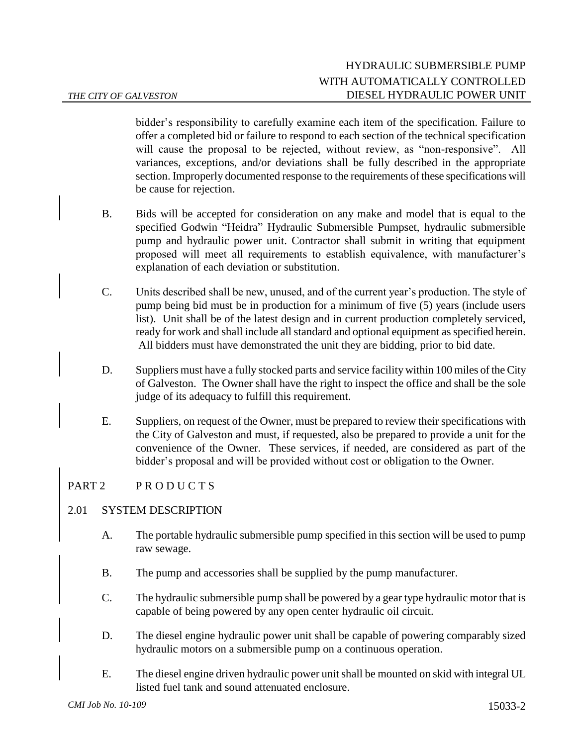bidder's responsibility to carefully examine each item of the specification. Failure to offer a completed bid or failure to respond to each section of the technical specification will cause the proposal to be rejected, without review, as "non-responsive". All variances, exceptions, and/or deviations shall be fully described in the appropriate section. Improperly documented response to the requirements of these specifications will be cause for rejection.

- B. Bids will be accepted for consideration on any make and model that is equal to the specified Godwin "Heidra" Hydraulic Submersible Pumpset, hydraulic submersible pump and hydraulic power unit. Contractor shall submit in writing that equipment proposed will meet all requirements to establish equivalence, with manufacturer's explanation of each deviation or substitution.
- C. Units described shall be new, unused, and of the current year's production. The style of pump being bid must be in production for a minimum of five (5) years (include users list). Unit shall be of the latest design and in current production completely serviced, ready for work and shall include all standard and optional equipment as specified herein. All bidders must have demonstrated the unit they are bidding, prior to bid date.
- D. Suppliers must have a fully stocked parts and service facility within 100 miles of the City of Galveston. The Owner shall have the right to inspect the office and shall be the sole judge of its adequacy to fulfill this requirement.
- E. Suppliers, on request of the Owner, must be prepared to review their specifications with the City of Galveston and must, if requested, also be prepared to provide a unit for the convenience of the Owner. These services, if needed, are considered as part of the bidder's proposal and will be provided without cost or obligation to the Owner.

## PART 2 PRODUCTS

## 2.01 SYSTEM DESCRIPTION

- A. The portable hydraulic submersible pump specified in this section will be used to pump raw sewage.
- B. The pump and accessories shall be supplied by the pump manufacturer.
- C. The hydraulic submersible pump shall be powered by a gear type hydraulic motor that is capable of being powered by any open center hydraulic oil circuit.
- D. The diesel engine hydraulic power unit shall be capable of powering comparably sized hydraulic motors on a submersible pump on a continuous operation.
- E. The diesel engine driven hydraulic power unit shall be mounted on skid with integral UL listed fuel tank and sound attenuated enclosure.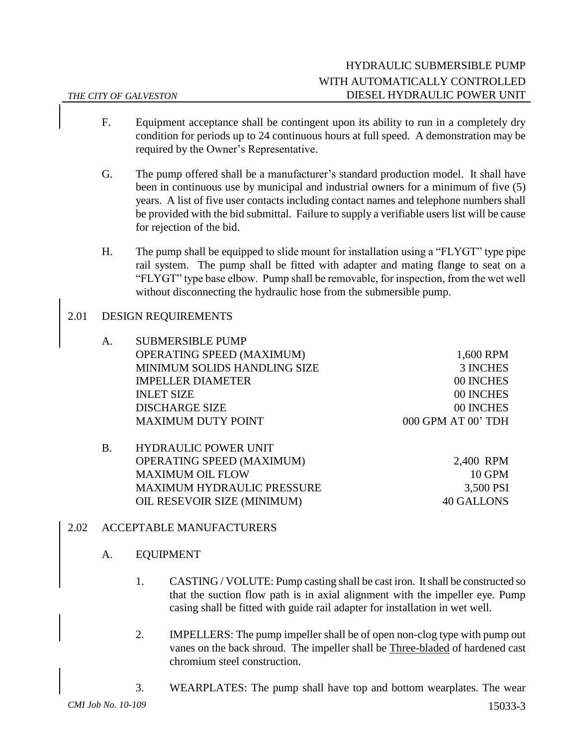- F. Equipment acceptance shall be contingent upon its ability to run in a completely dry condition for periods up to 24 continuous hours at full speed. A demonstration may be required by the Owner's Representative.
- G. The pump offered shall be a manufacturer's standard production model. It shall have been in continuous use by municipal and industrial owners for a minimum of five (5) years. A list of five user contacts including contact names and telephone numbers shall be provided with the bid submittal. Failure to supply a verifiable users list will be cause for rejection of the bid.
- H. The pump shall be equipped to slide mount for installation using a "FLYGT" type pipe rail system. The pump shall be fitted with adapter and mating flange to seat on a "FLYGT" type base elbow. Pump shall be removable, for inspection, from the wet well without disconnecting the hydraulic hose from the submersible pump.

## 2.01 DESIGN REQUIREMENTS

| A. | <b>SUBMERSIBLE PUMP</b>          |                    |
|----|----------------------------------|--------------------|
|    | <b>OPERATING SPEED (MAXIMUM)</b> | 1,600 RPM          |
|    | MINIMUM SOLIDS HANDLING SIZE     | 3 INCHES           |
|    | <b>IMPELLER DIAMETER</b>         | 00 INCHES          |
|    | <b>INLET SIZE</b>                | 00 INCHES          |
|    | <b>DISCHARGE SIZE</b>            | 00 INCHES          |
|    | <b>MAXIMUM DUTY POINT</b>        | 000 GPM AT 00' TDH |
|    |                                  |                    |

| B. | HYDRAULIC POWER UNIT              |            |
|----|-----------------------------------|------------|
|    | <b>OPERATING SPEED (MAXIMUM)</b>  | 2,400 RPM  |
|    | <b>MAXIMUM OIL FLOW</b>           | $10$ GPM   |
|    | <b>MAXIMUM HYDRAULIC PRESSURE</b> | 3,500 PSI  |
|    | OIL RESEVOIR SIZE (MINIMUM)       | 40 GALLONS |

## 2.02 ACCEPTABLE MANUFACTURERS

## A. EQUIPMENT

- 1. CASTING / VOLUTE: Pump casting shall be cast iron. It shall be constructed so that the suction flow path is in axial alignment with the impeller eye. Pump casing shall be fitted with guide rail adapter for installation in wet well.
- 2. IMPELLERS: The pump impeller shall be of open non-clog type with pump out vanes on the back shroud. The impeller shall be Three-bladed of hardened cast chromium steel construction.
- *CMI Job No. 10-109* 15033-3 3. WEARPLATES: The pump shall have top and bottom wearplates. The wear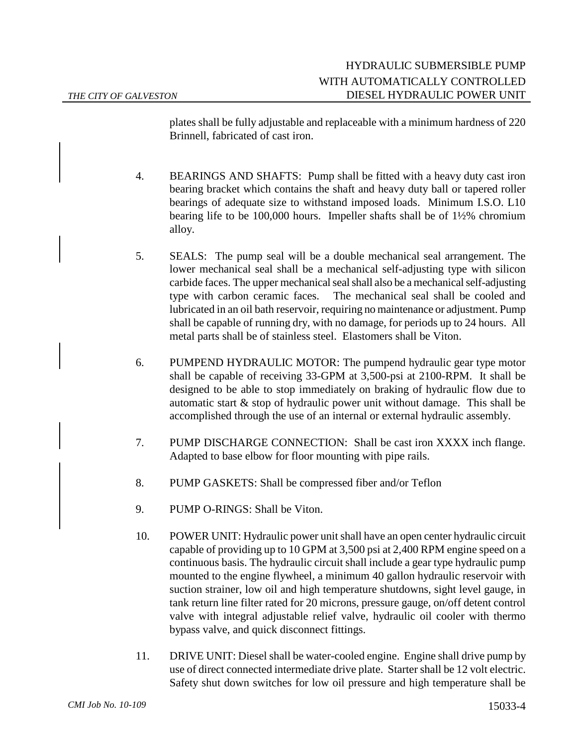plates shall be fully adjustable and replaceable with a minimum hardness of 220 Brinnell, fabricated of cast iron.

- 4. BEARINGS AND SHAFTS: Pump shall be fitted with a heavy duty cast iron bearing bracket which contains the shaft and heavy duty ball or tapered roller bearings of adequate size to withstand imposed loads. Minimum I.S.O. L10 bearing life to be 100,000 hours. Impeller shafts shall be of 1½% chromium alloy.
- 5. SEALS: The pump seal will be a double mechanical seal arrangement. The lower mechanical seal shall be a mechanical self-adjusting type with silicon carbide faces. The upper mechanical seal shall also be a mechanical self-adjusting type with carbon ceramic faces. The mechanical seal shall be cooled and lubricated in an oil bath reservoir, requiring no maintenance or adjustment. Pump shall be capable of running dry, with no damage, for periods up to 24 hours. All metal parts shall be of stainless steel. Elastomers shall be Viton.
- 6. PUMPEND HYDRAULIC MOTOR: The pumpend hydraulic gear type motor shall be capable of receiving 33-GPM at 3,500-psi at 2100-RPM. It shall be designed to be able to stop immediately on braking of hydraulic flow due to automatic start  $\&$  stop of hydraulic power unit without damage. This shall be accomplished through the use of an internal or external hydraulic assembly.
- 7. PUMP DISCHARGE CONNECTION: Shall be cast iron XXXX inch flange. Adapted to base elbow for floor mounting with pipe rails.
- 8. PUMP GASKETS: Shall be compressed fiber and/or Teflon
- 9. PUMP O-RINGS: Shall be Viton.
- 10. POWER UNIT: Hydraulic power unit shall have an open center hydraulic circuit capable of providing up to 10 GPM at 3,500 psi at 2,400 RPM engine speed on a continuous basis. The hydraulic circuit shall include a gear type hydraulic pump mounted to the engine flywheel, a minimum 40 gallon hydraulic reservoir with suction strainer, low oil and high temperature shutdowns, sight level gauge, in tank return line filter rated for 20 microns, pressure gauge, on/off detent control valve with integral adjustable relief valve, hydraulic oil cooler with thermo bypass valve, and quick disconnect fittings.
- 11. DRIVE UNIT: Diesel shall be water-cooled engine. Engine shall drive pump by use of direct connected intermediate drive plate. Starter shall be 12 volt electric. Safety shut down switches for low oil pressure and high temperature shall be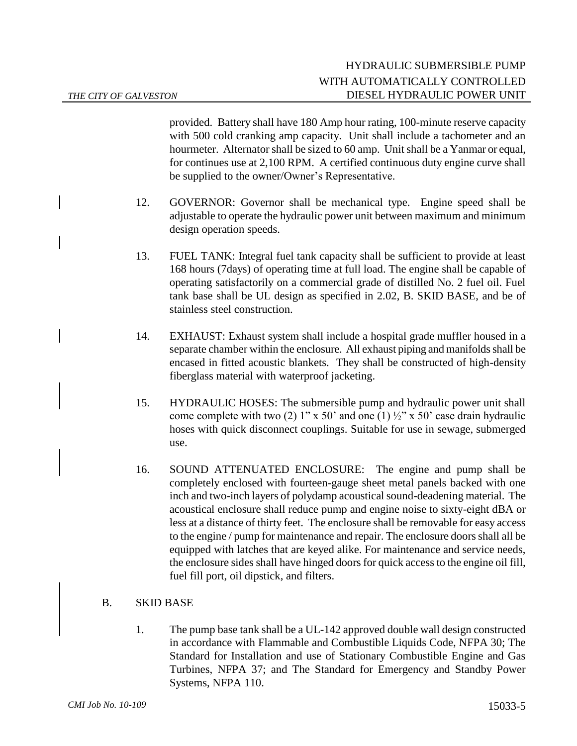provided. Battery shall have 180 Amp hour rating, 100-minute reserve capacity with 500 cold cranking amp capacity. Unit shall include a tachometer and an hourmeter. Alternator shall be sized to 60 amp. Unit shall be a Yanmar or equal, for continues use at 2,100 RPM. A certified continuous duty engine curve shall be supplied to the owner/Owner's Representative.

- 12. GOVERNOR: Governor shall be mechanical type. Engine speed shall be adjustable to operate the hydraulic power unit between maximum and minimum design operation speeds.
- 13. FUEL TANK: Integral fuel tank capacity shall be sufficient to provide at least 168 hours (7days) of operating time at full load. The engine shall be capable of operating satisfactorily on a commercial grade of distilled No. 2 fuel oil. Fuel tank base shall be UL design as specified in 2.02, B. SKID BASE, and be of stainless steel construction.
- 14. EXHAUST: Exhaust system shall include a hospital grade muffler housed in a separate chamber within the enclosure. All exhaust piping and manifolds shall be encased in fitted acoustic blankets. They shall be constructed of high-density fiberglass material with waterproof jacketing.
- 15. HYDRAULIC HOSES: The submersible pump and hydraulic power unit shall come complete with two (2) 1" x 50" and one (1)  $\frac{1}{2}$ " x 50" case drain hydraulic hoses with quick disconnect couplings. Suitable for use in sewage, submerged use.
- 16. SOUND ATTENUATED ENCLOSURE: The engine and pump shall be completely enclosed with fourteen-gauge sheet metal panels backed with one inch and two-inch layers of polydamp acoustical sound-deadening material. The acoustical enclosure shall reduce pump and engine noise to sixty-eight dBA or less at a distance of thirty feet. The enclosure shall be removable for easy access to the engine / pump for maintenance and repair. The enclosure doors shall all be equipped with latches that are keyed alike. For maintenance and service needs, the enclosure sides shall have hinged doors for quick access to the engine oil fill, fuel fill port, oil dipstick, and filters.

## B. SKID BASE

1. The pump base tank shall be a UL-142 approved double wall design constructed in accordance with Flammable and Combustible Liquids Code, NFPA 30; The Standard for Installation and use of Stationary Combustible Engine and Gas Turbines, NFPA 37; and The Standard for Emergency and Standby Power Systems, NFPA 110.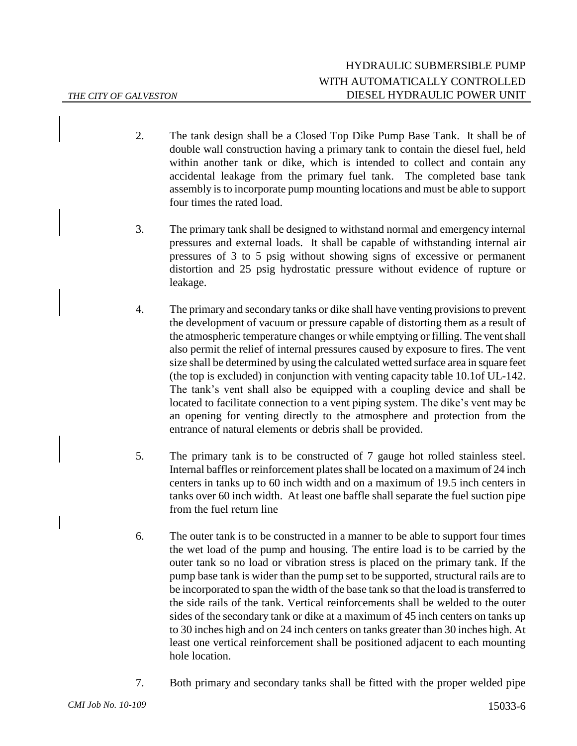- 2. The tank design shall be a Closed Top Dike Pump Base Tank. It shall be of double wall construction having a primary tank to contain the diesel fuel, held within another tank or dike, which is intended to collect and contain any accidental leakage from the primary fuel tank. The completed base tank assembly is to incorporate pump mounting locations and must be able to support four times the rated load.
- 3. The primary tank shall be designed to withstand normal and emergency internal pressures and external loads. It shall be capable of withstanding internal air pressures of 3 to 5 psig without showing signs of excessive or permanent distortion and 25 psig hydrostatic pressure without evidence of rupture or leakage.
- 4. The primary and secondary tanks or dike shall have venting provisions to prevent the development of vacuum or pressure capable of distorting them as a result of the atmospheric temperature changes or while emptying or filling. The vent shall also permit the relief of internal pressures caused by exposure to fires. The vent size shall be determined by using the calculated wetted surface area in square feet (the top is excluded) in conjunction with venting capacity table 10.1of UL-142. The tank's vent shall also be equipped with a coupling device and shall be located to facilitate connection to a vent piping system. The dike's vent may be an opening for venting directly to the atmosphere and protection from the entrance of natural elements or debris shall be provided.
- 5. The primary tank is to be constructed of 7 gauge hot rolled stainless steel. Internal baffles or reinforcement plates shall be located on a maximum of 24 inch centers in tanks up to 60 inch width and on a maximum of 19.5 inch centers in tanks over 60 inch width. At least one baffle shall separate the fuel suction pipe from the fuel return line
- 6. The outer tank is to be constructed in a manner to be able to support four times the wet load of the pump and housing. The entire load is to be carried by the outer tank so no load or vibration stress is placed on the primary tank. If the pump base tank is wider than the pump set to be supported, structural rails are to be incorporated to span the width of the base tank so that the load is transferred to the side rails of the tank. Vertical reinforcements shall be welded to the outer sides of the secondary tank or dike at a maximum of 45 inch centers on tanks up to 30 inches high and on 24 inch centers on tanks greater than 30 inches high. At least one vertical reinforcement shall be positioned adjacent to each mounting hole location.
- 7. Both primary and secondary tanks shall be fitted with the proper welded pipe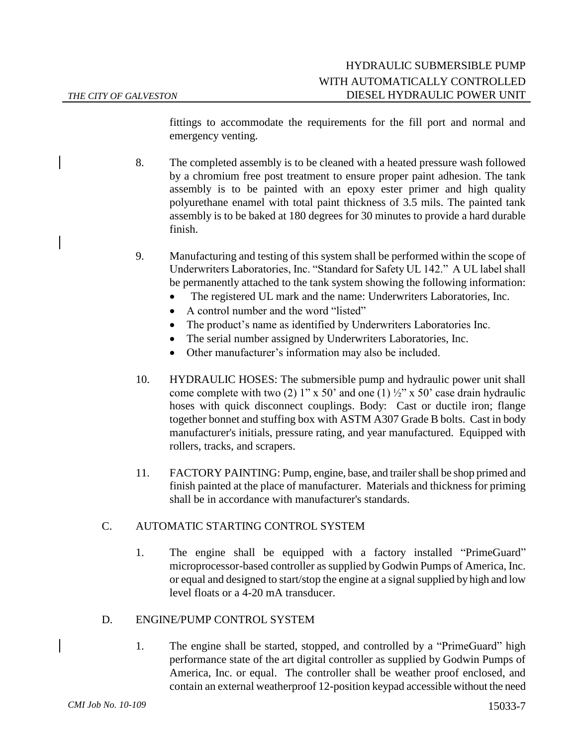fittings to accommodate the requirements for the fill port and normal and emergency venting.

- 8. The completed assembly is to be cleaned with a heated pressure wash followed by a chromium free post treatment to ensure proper paint adhesion. The tank assembly is to be painted with an epoxy ester primer and high quality polyurethane enamel with total paint thickness of 3.5 mils. The painted tank assembly is to be baked at 180 degrees for 30 minutes to provide a hard durable finish.
- 9. Manufacturing and testing of this system shall be performed within the scope of Underwriters Laboratories, Inc. "Standard for Safety UL 142." A UL label shall be permanently attached to the tank system showing the following information:
	- The registered UL mark and the name: Underwriters Laboratories, Inc.
	- A control number and the word "listed"
	- The product's name as identified by Underwriters Laboratories Inc.
	- The serial number assigned by Underwriters Laboratories, Inc.
	- Other manufacturer's information may also be included.
- 10. HYDRAULIC HOSES: The submersible pump and hydraulic power unit shall come complete with two (2) 1" x 50' and one (1)  $\frac{1}{2}$ " x 50' case drain hydraulic hoses with quick disconnect couplings. Body: Cast or ductile iron; flange together bonnet and stuffing box with ASTM A307 Grade B bolts. Cast in body manufacturer's initials, pressure rating, and year manufactured. Equipped with rollers, tracks, and scrapers.
- 11. FACTORY PAINTING: Pump, engine, base, and trailer shall be shop primed and finish painted at the place of manufacturer. Materials and thickness for priming shall be in accordance with manufacturer's standards.

## C. AUTOMATIC STARTING CONTROL SYSTEM

1. The engine shall be equipped with a factory installed "PrimeGuard" microprocessor-based controller as supplied by Godwin Pumps of America, Inc. or equal and designed to start/stop the engine at a signal supplied by high and low level floats or a 4-20 mA transducer.

## D. ENGINE/PUMP CONTROL SYSTEM

1. The engine shall be started, stopped, and controlled by a "PrimeGuard" high performance state of the art digital controller as supplied by Godwin Pumps of America, Inc. or equal. The controller shall be weather proof enclosed, and contain an external weatherproof 12-position keypad accessible without the need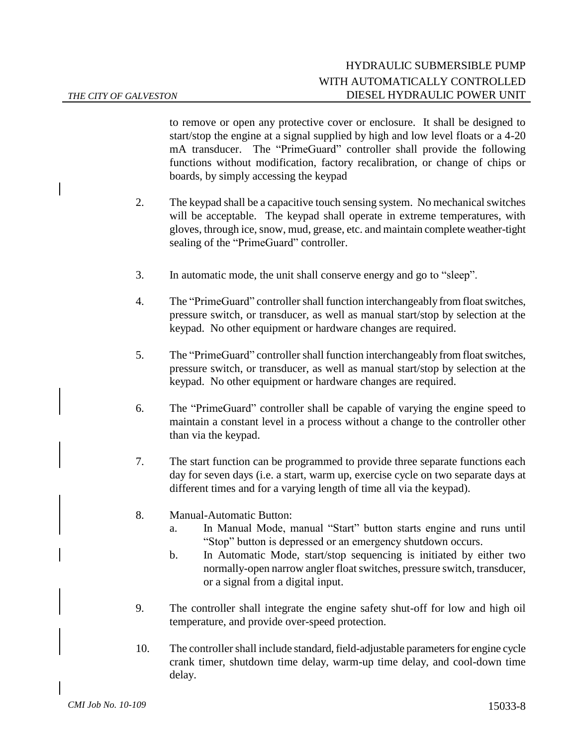to remove or open any protective cover or enclosure. It shall be designed to start/stop the engine at a signal supplied by high and low level floats or a 4-20 mA transducer. The "PrimeGuard" controller shall provide the following functions without modification, factory recalibration, or change of chips or boards, by simply accessing the keypad

- 2. The keypad shall be a capacitive touch sensing system. No mechanical switches will be acceptable. The keypad shall operate in extreme temperatures, with gloves, through ice, snow, mud, grease, etc. and maintain complete weather-tight sealing of the "PrimeGuard" controller.
- 3. In automatic mode, the unit shall conserve energy and go to "sleep".
- 4. The "PrimeGuard" controller shall function interchangeably from float switches, pressure switch, or transducer, as well as manual start/stop by selection at the keypad. No other equipment or hardware changes are required.
- 5. The "PrimeGuard" controller shall function interchangeably from float switches, pressure switch, or transducer, as well as manual start/stop by selection at the keypad. No other equipment or hardware changes are required.
- 6. The "PrimeGuard" controller shall be capable of varying the engine speed to maintain a constant level in a process without a change to the controller other than via the keypad.
- 7. The start function can be programmed to provide three separate functions each day for seven days (i.e. a start, warm up, exercise cycle on two separate days at different times and for a varying length of time all via the keypad).
- 8. Manual-Automatic Button:
	- a. In Manual Mode, manual "Start" button starts engine and runs until "Stop" button is depressed or an emergency shutdown occurs.
	- b. In Automatic Mode, start/stop sequencing is initiated by either two normally-open narrow angler float switches, pressure switch, transducer, or a signal from a digital input.
- 9. The controller shall integrate the engine safety shut-off for low and high oil temperature, and provide over-speed protection.
- 10. The controller shall include standard, field-adjustable parameters for engine cycle crank timer, shutdown time delay, warm-up time delay, and cool-down time delay.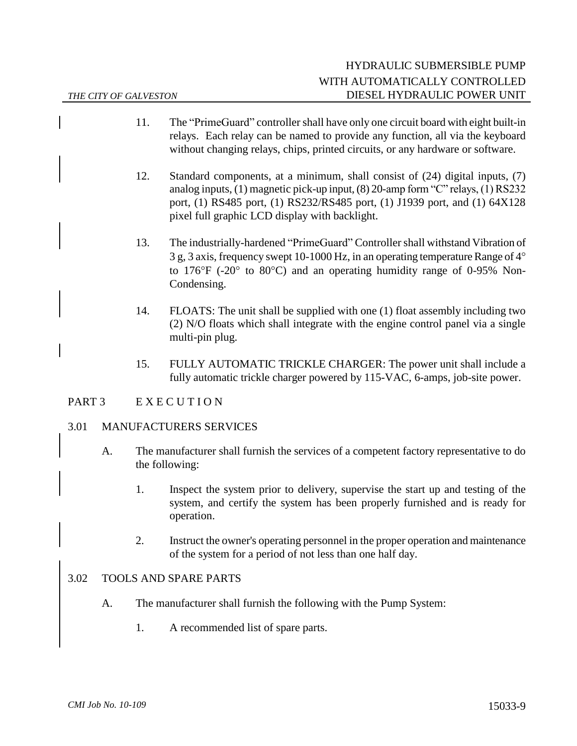- 11. The "PrimeGuard" controller shall have only one circuit board with eight built-in relays. Each relay can be named to provide any function, all via the keyboard without changing relays, chips, printed circuits, or any hardware or software.
- 12. Standard components, at a minimum, shall consist of (24) digital inputs, (7) analog inputs, (1) magnetic pick-up input, (8) 20-amp form "C" relays, (1) RS232 port, (1) RS485 port, (1) RS232/RS485 port, (1) J1939 port, and (1) 64X128 pixel full graphic LCD display with backlight.
- 13. The industrially-hardened "PrimeGuard" Controller shall withstand Vibration of 3 g, 3 axis, frequency swept 10-1000 Hz, in an operating temperature Range of 4 to 176 $\mathrm{^{\circ}F}$  (-20 $\mathrm{^{\circ}}$  to 80 $\mathrm{^{\circ}C}$ ) and an operating humidity range of 0-95% Non-Condensing.
- 14. FLOATS: The unit shall be supplied with one (1) float assembly including two (2) N/O floats which shall integrate with the engine control panel via a single multi-pin plug.
- 15. FULLY AUTOMATIC TRICKLE CHARGER: The power unit shall include a fully automatic trickle charger powered by 115-VAC, 6-amps, job-site power.

## PART 3 E X E C U T I O N

#### 3.01 MANUFACTURERS SERVICES

- A. The manufacturer shall furnish the services of a competent factory representative to do the following:
	- 1. Inspect the system prior to delivery, supervise the start up and testing of the system, and certify the system has been properly furnished and is ready for operation.
	- 2. Instruct the owner's operating personnel in the proper operation and maintenance of the system for a period of not less than one half day.

#### 3.02 TOOLS AND SPARE PARTS

- A. The manufacturer shall furnish the following with the Pump System:
	- 1. A recommended list of spare parts.